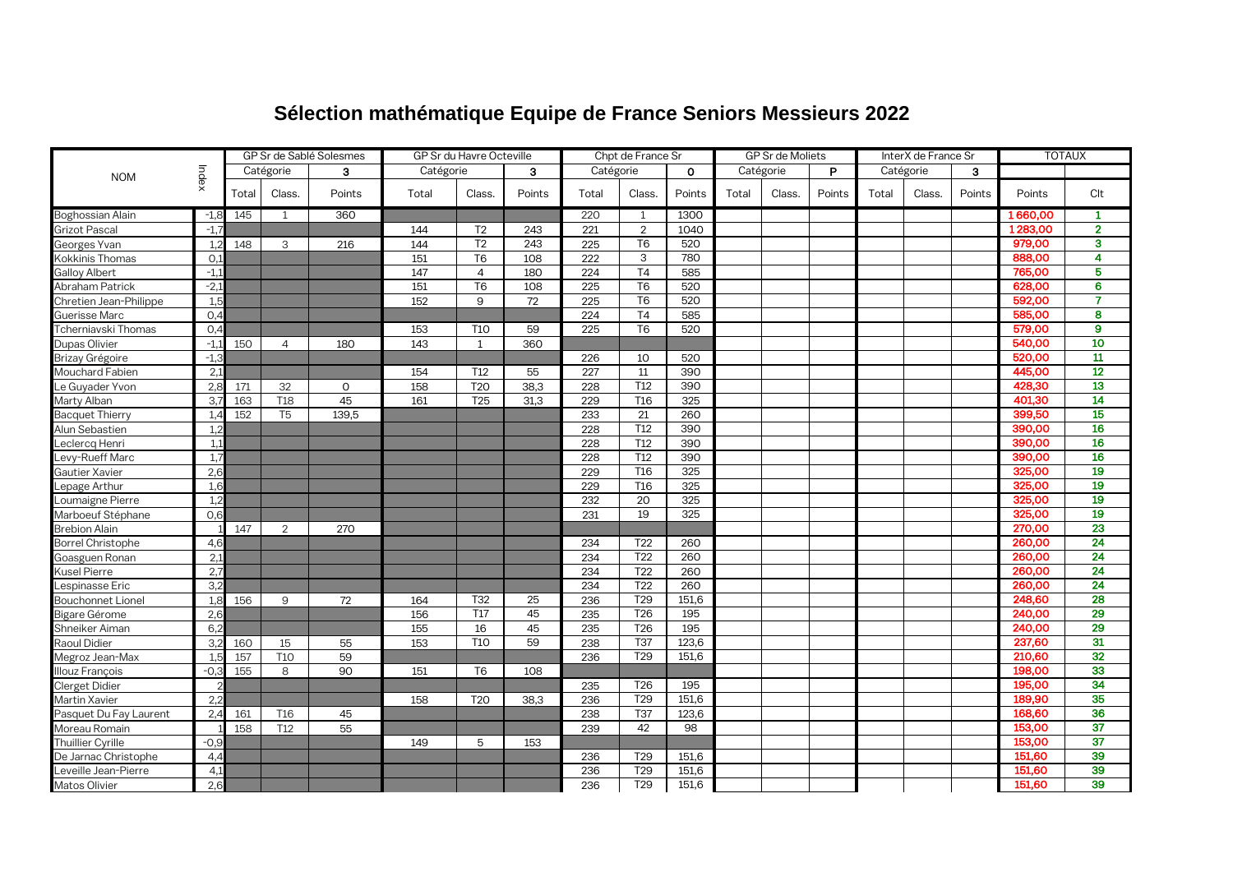## **Sélection mathématique Equipe de France Seniors Messieurs 2022**

|                          |        | GP Sr de Sablé Solesmes |                 |              | GP Sr du Havre Octeville |                  |        |           | Chpt de France Sr |              | GP Sr de Moliets |           |        | InterX de France Sr |           |        | <b>TOTAUX</b> |                         |
|--------------------------|--------|-------------------------|-----------------|--------------|--------------------------|------------------|--------|-----------|-------------------|--------------|------------------|-----------|--------|---------------------|-----------|--------|---------------|-------------------------|
| <b>NOM</b>               | Index  |                         | Catégorie       | 3            | Catégorie                |                  | 3      | Catégorie |                   | $\mathbf{o}$ |                  | Catégorie | P      |                     | Catégorie | 3      |               |                         |
|                          |        | Total                   | Class.          | Points       | Total                    | Class.           | Points | Total     | Class.            | Points       | Total            | Class.    | Points | Total               | Class.    | Points | Points        | Clt                     |
| Boghossian Alain         | $-1,8$ | 145                     | 1               | 360          |                          |                  |        | 220       | 1                 | 1300         |                  |           |        |                     |           |        | 1660,00       | 1                       |
| Grizot Pascal            | $-1,7$ |                         |                 |              | 144                      | T <sub>2</sub>   | 243    | 221       | $\overline{2}$    | 1040         |                  |           |        |                     |           |        | 1283,00       | $\overline{2}$          |
| Georges Yvan             | 1.2    | 148                     | 3               | 216          | 144                      | T <sub>2</sub>   | 243    | 225       | T <sub>6</sub>    | 520          |                  |           |        |                     |           |        | 979,00        | 3                       |
| Kokkinis Thomas          | O.1    |                         |                 |              | 151                      | T <sub>6</sub>   | 108    | 222       | 3                 | 780          |                  |           |        |                     |           |        | 888,00        | $\overline{\mathbf{4}}$ |
| Galloy Albert            | $-1.1$ |                         |                 |              | 147                      | $\overline{4}$   | 180    | 224       | T4                | 585          |                  |           |        |                     |           |        | 765,00        | 5                       |
| Abraham Patrick          | $-2,1$ |                         |                 |              | 151                      | T <sub>6</sub>   | 108    | 225       | $\overline{16}$   | 520          |                  |           |        |                     |           |        | 628,00        | 6                       |
| Chretien Jean-Philippe   | 1.5    |                         |                 |              | 152                      | 9                | 72     | 225       | T <sub>6</sub>    | 520          |                  |           |        |                     |           |        | 592,00        | $\overline{7}$          |
| Guerisse Marc            | 0.4    |                         |                 |              |                          |                  |        | 224       | T4                | 585          |                  |           |        |                     |           |        | 585,00        | 8                       |
| Tcherniavski Thomas      | O,4    |                         |                 |              | 153                      | T <sub>10</sub>  | 59     | 225       | T <sub>6</sub>    | 520          |                  |           |        |                     |           |        | 579,00        | $\mathbf{9}$            |
| Dupas Olivier            | $-1,1$ | 150                     | $\overline{4}$  | 180          | 143                      | 1                | 360    |           |                   |              |                  |           |        |                     |           |        | 540,00        | 10                      |
| Brizay Grégoire          | $-1.3$ |                         |                 |              |                          |                  |        | 226       | 10                | 520          |                  |           |        |                     |           |        | 520,00        | $\overline{\mathbf{u}}$ |
| Mouchard Fabien          | 2.1    |                         |                 |              | 154                      | T <sub>12</sub>  | 55     | 227       | 11                | 390          |                  |           |        |                     |           |        | 445,00        | 12                      |
| Le Guyader Yvon          | 2,8    | 171                     | 32              | $\mathbf{0}$ | 158                      | <b>T20</b>       | 38,3   | 228       | T12               | 390          |                  |           |        |                     |           |        | 428,30        | 13                      |
| Marty Alban              | 3,7    | 163                     | T <sub>18</sub> | 45           | 161                      | <b>T25</b>       | 31,3   | 229       | T <sub>16</sub>   | 325          |                  |           |        |                     |           |        | 401,30        | 14                      |
| <b>Bacquet Thierry</b>   | 1.4    | 152                     | T <sub>5</sub>  | 139,5        |                          |                  |        | 233       | 21                | 260          |                  |           |        |                     |           |        | 399,50        | 15                      |
| Alun Sebastien           | 1.2    |                         |                 |              |                          |                  |        | 228       | T12               | 390          |                  |           |        |                     |           |        | 390,00        | 16                      |
| _eclercq Henri           | 1.1    |                         |                 |              |                          |                  |        | 228       | T12               | 390          |                  |           |        |                     |           |        | 390,00        | 16                      |
| _evy-Rueff Marc          | 1.7    |                         |                 |              |                          |                  |        | 228       | T <sub>12</sub>   | 390          |                  |           |        |                     |           |        | 390,00        | 16                      |
| Gautier Xavier           | 2,6    |                         |                 |              |                          |                  |        | 229       | T <sub>16</sub>   | 325          |                  |           |        |                     |           |        | 325,00        | 19                      |
| _epage Arthur            | 1,6    |                         |                 |              |                          |                  |        | 229       | T <sub>16</sub>   | 325          |                  |           |        |                     |           |        | 325,00        | 19                      |
| _oumaigne Pierre         | 1.2    |                         |                 |              |                          |                  |        | 232       | 20                | 325          |                  |           |        |                     |           |        | 325,00        | 19                      |
| Marboeuf Stéphane        | 0,6    |                         |                 |              |                          |                  |        | 231       | 19                | 325          |                  |           |        |                     |           |        | 325,00        | 19                      |
| <b>Brebion Alain</b>     |        | 147                     | 2               | 270          |                          |                  |        |           |                   |              |                  |           |        |                     |           |        | 270,00        | 23                      |
| <b>Borrel Christophe</b> | 4.6    |                         |                 |              |                          |                  |        | 234       | T <sub>22</sub>   | 260          |                  |           |        |                     |           |        | 260,00        | 24                      |
| Goasguen Ronan           | 2,1    |                         |                 |              |                          |                  |        | 234       | T <sub>22</sub>   | 260          |                  |           |        |                     |           |        | 260,00        | $\overline{24}$         |
| <b>Kusel Pierre</b>      | 2,7    |                         |                 |              |                          |                  |        | 234       | T <sub>22</sub>   | 260          |                  |           |        |                     |           |        | 260,00        | 24                      |
| _espinasse Eric          | 3,2    |                         |                 |              |                          |                  |        | 234       | T <sub>22</sub>   | 260          |                  |           |        |                     |           |        | 260,00        | 24                      |
| <b>Bouchonnet Lionel</b> | 1,8    | 156                     | 9               | 72           | 164                      | T <sub>32</sub>  | 25     | 236       | T <sub>29</sub>   | 151,6        |                  |           |        |                     |           |        | 248,60        | 28                      |
| Bigare Gérome            | 2,6    |                         |                 |              | 156                      | $\overline{117}$ | 45     | 235       | $\overline{126}$  | 195          |                  |           |        |                     |           |        | 240,00        | 29                      |
| Shneiker Aiman           | 6,2    |                         |                 |              | 155                      | 16               | 45     | 235       | T <sub>26</sub>   | 195          |                  |           |        |                     |           |        | 240,00        | 29                      |
| Raoul Didier             | 3,2    | 160                     | 15              | 55           | 153                      | T <sub>10</sub>  | 59     | 238       | <b>T37</b>        | 123,6        |                  |           |        |                     |           |        | 237,60        | 31                      |
| Megroz Jean-Max          | 1.5    | 157                     | T <sub>10</sub> | 59           |                          |                  |        | 236       | T29               | 151,6        |                  |           |        |                     |           |        | 210,60        | 32                      |
| Illouz François          | $-0.3$ | 155                     | 8               | 90           | 151                      | T <sub>6</sub>   | 108    |           |                   |              |                  |           |        |                     |           |        | 198,00        | 33                      |
| Clerget Didier           |        |                         |                 |              |                          |                  |        | 235       | T <sub>26</sub>   | 195          |                  |           |        |                     |           |        | 195,00        | 34                      |
| <b>Martin Xavier</b>     | 2.2    |                         |                 |              | 158                      | T <sub>20</sub>  | 38,3   | 236       | T <sub>29</sub>   | 151,6        |                  |           |        |                     |           |        | 189,90        | 35                      |
| Pasquet Du Fay Laurent   | 2,4    | 161                     | T <sub>16</sub> | 45           |                          |                  |        | 238       | T37               | 123,6        |                  |           |        |                     |           |        | 168,60        | 36                      |
| Moreau Romain            |        | 158                     | T <sub>12</sub> | 55           |                          |                  |        | 239       | 42                | 98           |                  |           |        |                     |           |        | 153,00        | 37                      |
| Thuillier Cyrille        | $-0,9$ |                         |                 |              | 149                      | 5                | 153    |           |                   |              |                  |           |        |                     |           |        | 153,00        | 37                      |
| De Jarnac Christophe     | 4.4    |                         |                 |              |                          |                  |        | 236       | T <sub>29</sub>   | 151,6        |                  |           |        |                     |           |        | 151,60        | 39                      |
| eveille Jean-Pierre      | 4.1    |                         |                 |              |                          |                  |        | 236       | T <sub>29</sub>   | 151.6        |                  |           |        |                     |           |        | 151.60        | 39                      |
| Matos Olivier            | 2,6    |                         |                 |              |                          |                  |        | 236       | T <sub>29</sub>   | 151,6        |                  |           |        |                     |           |        | 151,60        | 39                      |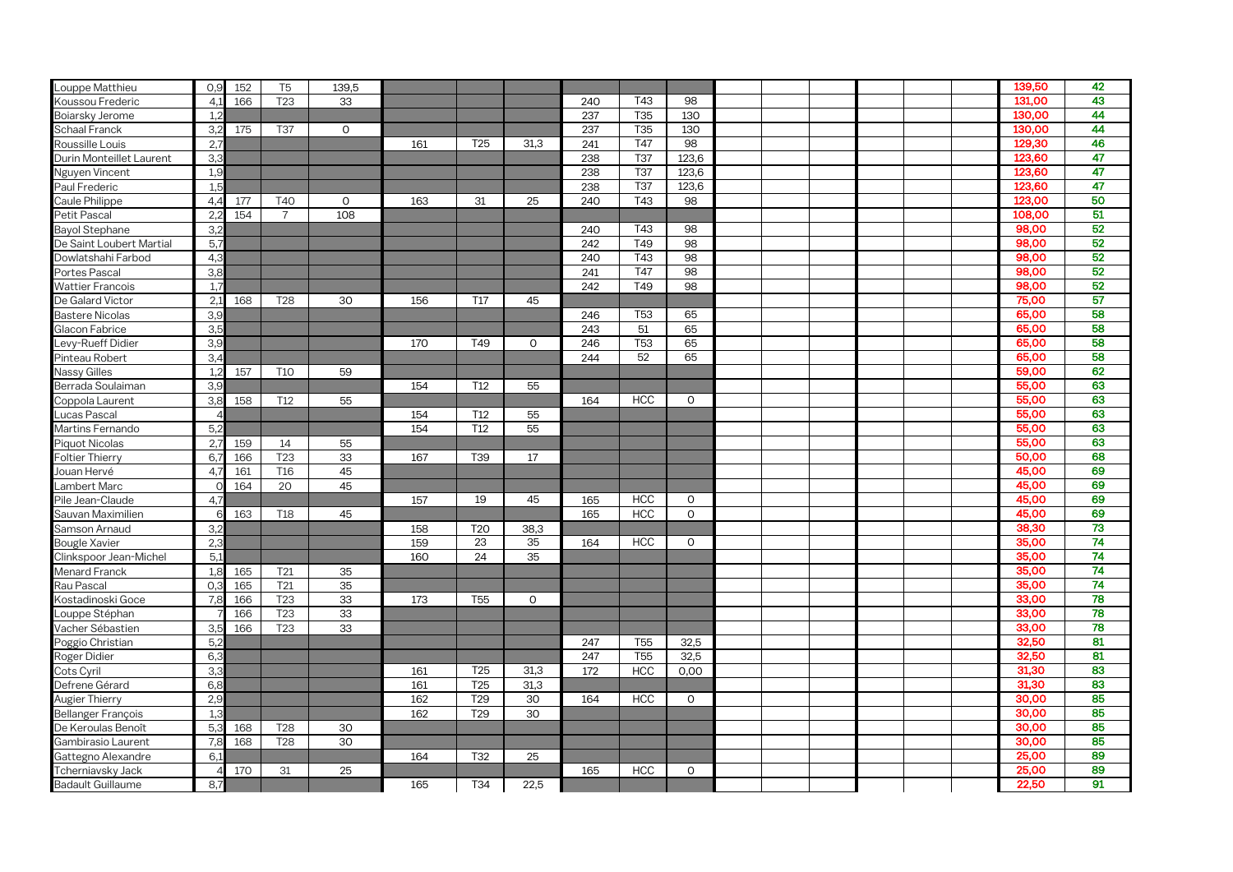| Louppe Matthieu           | O,9   | 152 | T <sub>5</sub>  | 139,5       |     |                 |             |     |                 |              |  |  |  | 139,50 | 42              |
|---------------------------|-------|-----|-----------------|-------------|-----|-----------------|-------------|-----|-----------------|--------------|--|--|--|--------|-----------------|
| Koussou Frederic          | 4.1   | 166 | T <sub>23</sub> | 33          |     |                 |             | 240 | T43             | 98           |  |  |  | 131,00 | 43              |
| Boiarsky Jerome           | 1,2   |     |                 |             |     |                 |             | 237 | T35             | 130          |  |  |  | 130,00 | 44              |
| <b>Schaal Franck</b>      | 3,2   | 175 | <b>T37</b>      | $\mathbf 0$ |     |                 |             | 237 | T35             | 130          |  |  |  | 130,00 | 44              |
| Roussille Louis           | 2,    |     |                 |             | 161 | T <sub>25</sub> | 31.3        | 241 | <b>T47</b>      | 98           |  |  |  | 129,30 | 46              |
| Durin Monteillet Laurent  | 3,3   |     |                 |             |     |                 |             | 238 | <b>T37</b>      | 123,6        |  |  |  | 123,60 | 47              |
| Nguyen Vincent            | 1.9   |     |                 |             |     |                 |             | 238 | <b>T37</b>      | 123,6        |  |  |  | 123,60 | 47              |
| Paul Frederic             | 1.5   |     |                 |             |     |                 |             | 238 | <b>T37</b>      | 123,6        |  |  |  | 123,60 | 47              |
| Caule Philippe            | 4,4   | 177 | T40             | $\circ$     | 163 | 31              | 25          | 240 | T43             | 98           |  |  |  | 123,00 | 50              |
| Petit Pascal              | 2,    | 154 | $\overline{7}$  | 108         |     |                 |             |     |                 |              |  |  |  | 108,00 | 51              |
| Bayol Stephane            | 3.2   |     |                 |             |     |                 |             | 240 | T43             | 98           |  |  |  | 98,00  | 52              |
| De Saint Loubert Martial  | 5,7   |     |                 |             |     |                 |             | 242 | T49             | 98           |  |  |  | 98,00  | 52              |
| Dowlatshahi Farbod        | 4.3   |     |                 |             |     |                 |             | 240 | T43             | 98           |  |  |  | 98,00  | 52              |
| Portes Pascal             | 3,8   |     |                 |             |     |                 |             | 241 | T47             | 98           |  |  |  | 98,00  | 52              |
| <b>Wattier Francois</b>   | 1,    |     |                 |             |     |                 |             | 242 | T49             | 98           |  |  |  | 98,00  | 52              |
| De Galard Victor          | 2,1   | 168 | T <sub>28</sub> | 30          | 156 | T <sub>17</sub> | 45          |     |                 |              |  |  |  | 75,00  | 57              |
| <b>Bastere Nicolas</b>    | 3.9   |     |                 |             |     |                 |             | 246 | T <sub>53</sub> | 65           |  |  |  | 65.00  | 58              |
| Glacon Fabrice            | 3!    |     |                 |             |     |                 |             | 243 | 51              | 65           |  |  |  | 65,00  | 58              |
| Levy-Rueff Didier         | 3,5   |     |                 |             | 170 | T49             | $\mathbf 0$ | 246 | T <sub>53</sub> | 65           |  |  |  | 65,00  | 58              |
| Pinteau Robert            | 3,4   |     |                 |             |     |                 |             | 244 | 52              | 65           |  |  |  | 65,00  | 58              |
| <b>Nassy Gilles</b>       | 1,2   | 157 | <b>T10</b>      | 59          |     |                 |             |     |                 |              |  |  |  | 59,00  | 62              |
| Berrada Soulaiman         | 3.9   |     |                 |             | 154 | T <sub>12</sub> | 55          |     |                 |              |  |  |  | 55,00  | 63              |
| Coppola Laurent           | 3.8   | 158 | T <sub>12</sub> | 55          |     |                 |             | 164 | <b>HCC</b>      | $\circ$      |  |  |  | 55,00  | 63              |
| Lucas Pascal              |       |     |                 |             | 154 | T <sub>12</sub> | 55          |     |                 |              |  |  |  | 55,00  | 63              |
| Martins Fernando          | 5,2   |     |                 |             | 154 | T <sub>12</sub> | 55          |     |                 |              |  |  |  | 55,00  | 63              |
| Piquot Nicolas            | 2,7   | 159 | 14              | 55          |     |                 |             |     |                 |              |  |  |  | 55,00  | 63              |
| <b>Foltier Thierry</b>    | 6.    | 166 | T <sub>23</sub> | 33          | 167 | T39             | 17          |     |                 |              |  |  |  | 50,00  | 68              |
| Jouan Hervé               | 4,    | 161 | T <sub>16</sub> | 45          |     |                 |             |     |                 |              |  |  |  | 45,00  | 69              |
| Lambert Marc              |       | 164 | 20              | 45          |     |                 |             |     |                 |              |  |  |  | 45,00  | 69              |
| Pile Jean-Claude          | 4.    |     |                 |             | 157 | 19              | 45          | 165 | <b>HCC</b>      | $\mathsf{O}$ |  |  |  | 45,00  | 69              |
| Sauvan Maximilien         |       | 163 | <b>T18</b>      | 45          |     |                 |             | 165 | <b>HCC</b>      | $\circ$      |  |  |  | 45,00  | 69              |
| Samson Arnaud             | 3.2   |     |                 |             | 158 | T <sub>20</sub> | 38,3        |     |                 |              |  |  |  | 38,30  | 73              |
| <b>Bougle Xavier</b>      | 2.3   |     |                 |             | 159 | 23              | 35          | 164 | <b>HCC</b>      | $\mathbf 0$  |  |  |  | 35,00  | 74              |
| Clinkspoor Jean-Michel    | 5.5   |     |                 |             | 160 | 24              | 35          |     |                 |              |  |  |  | 35,00  | $\overline{74}$ |
| Menard Franck             | 1.8   | 165 | T <sub>21</sub> | 35          |     |                 |             |     |                 |              |  |  |  | 35,00  | $\overline{74}$ |
| Rau Pascal                | $O$ . | 165 | T <sub>21</sub> | 35          |     |                 |             |     |                 |              |  |  |  | 35,00  | 74              |
| Kostadinoski Goce         | 7.8   | 166 | T <sub>23</sub> | 33          | 173 | T <sub>55</sub> | $\circ$     |     |                 |              |  |  |  | 33,00  | 78              |
| _ouppe Stéphan            |       | 166 | T <sub>23</sub> | 33          |     |                 |             |     |                 |              |  |  |  | 33,00  | 78              |
| Vacher Sébastien          | 3,5   | 166 | T <sub>23</sub> | 33          |     |                 |             |     |                 |              |  |  |  | 33,00  | 78              |
| Poggio Christian          | 5.2   |     |                 |             |     |                 |             | 247 | T <sub>55</sub> | 32,5         |  |  |  | 32,50  | 81              |
| Roger Didier              | 6.3   |     |                 |             |     |                 |             | 247 | T <sub>55</sub> | 32,5         |  |  |  | 32,50  | 81              |
| Cots Cyril                | 3.3   |     |                 |             | 161 | T <sub>25</sub> | 31,3        | 172 | <b>HCC</b>      | 0,00         |  |  |  | 31,30  | 83              |
| Defrene Gérard            | 6,8   |     |                 |             | 161 | T <sub>25</sub> | 31,3        |     |                 |              |  |  |  | 31,30  | 83              |
| Augier Thierry            | 2.9   |     |                 |             | 162 | T <sub>29</sub> | 30          | 164 | <b>HCC</b>      | $\circ$      |  |  |  | 30,00  | 85              |
| <b>Bellanger François</b> | 1.3   |     |                 |             | 162 | T <sub>29</sub> | 30          |     |                 |              |  |  |  | 30.00  | 85              |
| De Keroulas Benoît        | 5.3   | 168 | <b>T28</b>      | 30          |     |                 |             |     |                 |              |  |  |  | 30.00  | 85              |
| Gambirasio Laurent        | 7,8   | 168 | <b>T28</b>      | 30          |     |                 |             |     |                 |              |  |  |  | 30,00  | 85              |
| Gattegno Alexandre        | 6.    |     |                 |             | 164 | <b>T32</b>      | 25          |     |                 |              |  |  |  | 25,00  | 89              |
| Tcherniavsky Jack         |       | 170 | 31              | 25          |     |                 |             | 165 | <b>HCC</b>      | $\Omega$     |  |  |  | 25,00  | 89              |
| <b>Badault Guillaume</b>  | 8,7   |     |                 |             | 165 | T34             | 22,5        |     |                 |              |  |  |  | 22,50  | 91              |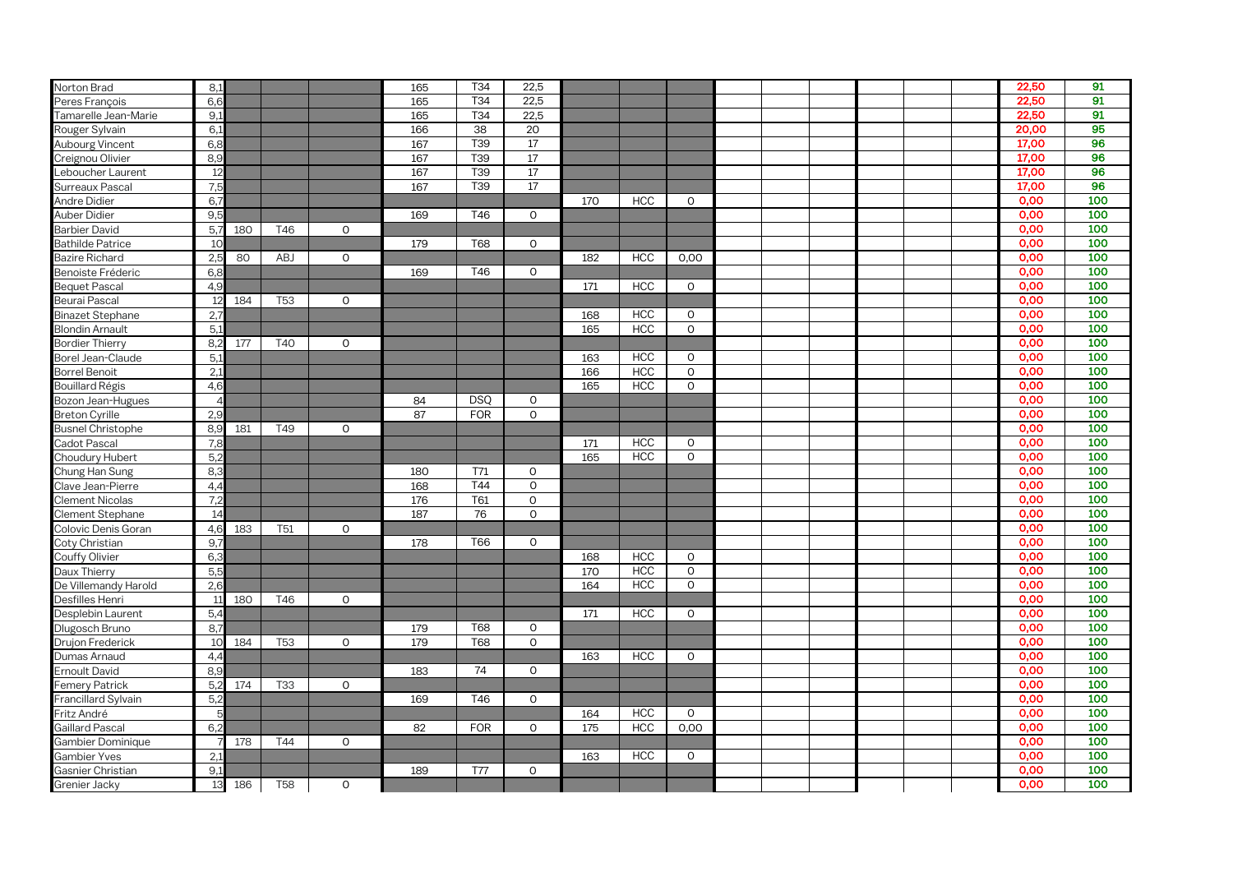| Norton Brad              | 8,1            |     |                 |              | 165 | T34             | 22,5         |     |            |                |  |  |  | 22,50 | 91  |
|--------------------------|----------------|-----|-----------------|--------------|-----|-----------------|--------------|-----|------------|----------------|--|--|--|-------|-----|
| Peres François           | 6,6            |     |                 |              | 165 | T34             | 22,5         |     |            |                |  |  |  | 22,50 | 91  |
| Tamarelle Jean-Marie     | 9,1            |     |                 |              | 165 | T34             | 22,5         |     |            |                |  |  |  | 22,50 | 91  |
| Rouger Sylvain           | 6,1            |     |                 |              | 166 | 38              | 20           |     |            |                |  |  |  | 20,00 | 95  |
| Aubourg Vincent          | 6,8            |     |                 |              | 167 | T39             | 17           |     |            |                |  |  |  | 17,00 | 96  |
| Creignou Olivier         | 8,9            |     |                 |              | 167 | T39             | 17           |     |            |                |  |  |  | 17,00 | 96  |
| Leboucher Laurent        | 12             |     |                 |              | 167 | T <sub>39</sub> | 17           |     |            |                |  |  |  | 17,00 | 96  |
| Surreaux Pascal          | 7,5            |     |                 |              | 167 | T <sub>39</sub> | 17           |     |            |                |  |  |  | 17,00 | 96  |
| Andre Didier             | 6.             |     |                 |              |     |                 |              | 170 | <b>HCC</b> | $\mathbf 0$    |  |  |  | 0.00  | 100 |
| Auber Didier             | 9,5            |     |                 |              | 169 | T46             | $\Omega$     |     |            |                |  |  |  | 0,00  | 100 |
| <b>Barbier David</b>     | 5,             | 180 | T46             | $\mathsf O$  |     |                 |              |     |            |                |  |  |  | 0,00  | 100 |
| <b>Bathilde Patrice</b>  | 10             |     |                 |              | 179 | <b>T68</b>      | $\mathbf 0$  |     |            |                |  |  |  | 0,00  | 100 |
| <b>Bazire Richard</b>    | 2,5            | 80  | <b>ABJ</b>      | $\mathbf 0$  |     |                 |              | 182 | <b>HCC</b> | 0,00           |  |  |  | 0,00  | 100 |
| Benoiste Fréderic        | 6,8            |     |                 |              | 169 | T46             | $\mathbf 0$  |     |            |                |  |  |  | 0,00  | 100 |
| <b>Bequet Pascal</b>     | 4,9            |     |                 |              |     |                 |              | 171 | <b>HCC</b> | $\overline{O}$ |  |  |  | 0,00  | 100 |
| Beurai Pascal            | 12             | 184 | T <sub>53</sub> | $\mathbf 0$  |     |                 |              |     |            |                |  |  |  | 0,00  | 100 |
| <b>Binazet Stephane</b>  | 2,7            |     |                 |              |     |                 |              | 168 | <b>HCC</b> | $\circ$        |  |  |  | 0,00  | 100 |
| <b>Blondin Arnault</b>   | 5,1            |     |                 |              |     |                 |              | 165 | <b>HCC</b> | $\mathbf 0$    |  |  |  | 0,00  | 100 |
| <b>Bordier Thierry</b>   | 8,2            | 177 | <b>T40</b>      | $\circ$      |     |                 |              |     |            |                |  |  |  | 0.00  | 100 |
| Borel Jean-Claude        | 5,1            |     |                 |              |     |                 |              | 163 | <b>HCC</b> | $\circ$        |  |  |  | 0.00  | 100 |
| <b>Borrel Benoit</b>     | 2,1            |     |                 |              |     |                 |              | 166 | <b>HCC</b> | $\mathsf O$    |  |  |  | 0,00  | 100 |
| <b>Bouillard Régis</b>   | 4,6            |     |                 |              |     |                 |              | 165 | <b>HCC</b> | $\mathbf 0$    |  |  |  | 0,00  | 100 |
| Bozon Jean-Hugues        |                |     |                 |              | 84  | <b>DSO</b>      | $\mathbf 0$  |     |            |                |  |  |  | 0,00  | 100 |
| <b>Breton Cyrille</b>    | 2,9            |     |                 |              | 87  | <b>FOR</b>      | $\mathbf 0$  |     |            |                |  |  |  | 0,00  | 100 |
| <b>Busnel Christophe</b> | 8,9            | 181 | T49             | $\circ$      |     |                 |              |     |            |                |  |  |  | 0,00  | 100 |
| Cadot Pascal             | 7.8            |     |                 |              |     |                 |              | 171 | <b>HCC</b> | $\circ$        |  |  |  | 0,00  | 100 |
| Choudury Hubert          | 5.2            |     |                 |              |     |                 |              | 165 | <b>HCC</b> | $\circ$        |  |  |  | 0,00  | 100 |
| Chung Han Sung           | 8.3            |     |                 |              | 180 | T71             | $\circ$      |     |            |                |  |  |  | 0,00  | 100 |
| Clave Jean-Pierre        | 4,4            |     |                 |              | 168 | T44             | $\mathbf 0$  |     |            |                |  |  |  | 0,00  | 100 |
| <b>Clement Nicolas</b>   | 7,2            |     |                 |              | 176 | T61             | $\mathsf{O}$ |     |            |                |  |  |  | 0,00  | 100 |
| Clement Stephane         | 14             |     |                 |              | 187 | 76              | $\mathsf O$  |     |            |                |  |  |  | 0,00  | 100 |
| Colovic Denis Goran      | 4,6            | 183 | T <sub>51</sub> | $\mathbf 0$  |     |                 |              |     |            |                |  |  |  | 0,00  | 100 |
| Coty Christian           | 9.             |     |                 |              | 178 | T66             | $\mathbf 0$  |     |            |                |  |  |  | 0,00  | 100 |
| Couffy Olivier           | 6.5            |     |                 |              |     |                 |              | 168 | <b>HCC</b> | $\circ$        |  |  |  | 0,00  | 100 |
| Daux Thierry             | 5 <sub>5</sub> |     |                 |              |     |                 |              | 170 | <b>HCC</b> | $\mathbf 0$    |  |  |  | 0,00  | 100 |
| De Villemandy Harold     | 2.0            |     |                 |              |     |                 |              | 164 | <b>HCC</b> | $\mathbf 0$    |  |  |  | 0,00  | 100 |
| Desfilles Henri          | $\mathbf{1}$   | 180 | T46             | $\mathbf{0}$ |     |                 |              |     |            |                |  |  |  | 0,00  | 100 |
| Desplebin Laurent        | 5,4            |     |                 |              |     |                 |              | 171 | <b>HCC</b> | $\circ$        |  |  |  | 0,00  | 100 |
| Dlugosch Bruno           | 8,             |     |                 |              | 179 | <b>T68</b>      | $\mathbf 0$  |     |            |                |  |  |  | 0.00  | 100 |
| Drujon Frederick         | 10             | 184 | T <sub>53</sub> | $\circ$      | 179 | <b>T68</b>      | $\mathbf 0$  |     |            |                |  |  |  | 0,00  | 100 |
| Dumas Arnaud             | 4,4            |     |                 |              |     |                 |              | 163 | <b>HCC</b> | $\mathsf{O}$   |  |  |  | 0,00  | 100 |
| <b>Ernoult David</b>     | 8,9            |     |                 |              | 183 | 74              | $\circ$      |     |            |                |  |  |  | 0,00  | 100 |
| <b>Femery Patrick</b>    | 5.2            | 174 | T33             | 0            |     |                 |              |     |            |                |  |  |  | 0,00  | 100 |
| Francillard Sylvain      | 5.2            |     |                 |              | 169 | T46             | $\circ$      |     |            |                |  |  |  | 0,00  | 100 |
| Fritz André              |                |     |                 |              |     |                 |              | 164 | <b>HCC</b> | $\circ$        |  |  |  | 0,00  | 100 |
| Gaillard Pascal          | 6.2            |     |                 |              | 82  | <b>FOR</b>      | $\Omega$     | 175 | <b>HCC</b> | 0,00           |  |  |  | 0,00  | 100 |
| Gambier Dominique        |                | 178 | T44             | $\mathbf{0}$ |     |                 |              |     |            |                |  |  |  | 0,00  | 100 |
| <b>Gambier Yves</b>      | 2,             |     |                 |              |     |                 |              | 163 | <b>HCC</b> | $\Omega$       |  |  |  | 0,00  | 100 |
| Gasnier Christian        | 9,1            |     |                 |              | 189 | <b>T77</b>      | $\Omega$     |     |            |                |  |  |  | 0,00  | 100 |
| Grenier Jacky            | 13             | 186 | <b>T58</b>      | $\mathsf O$  |     |                 |              |     |            |                |  |  |  | 0,00  | 100 |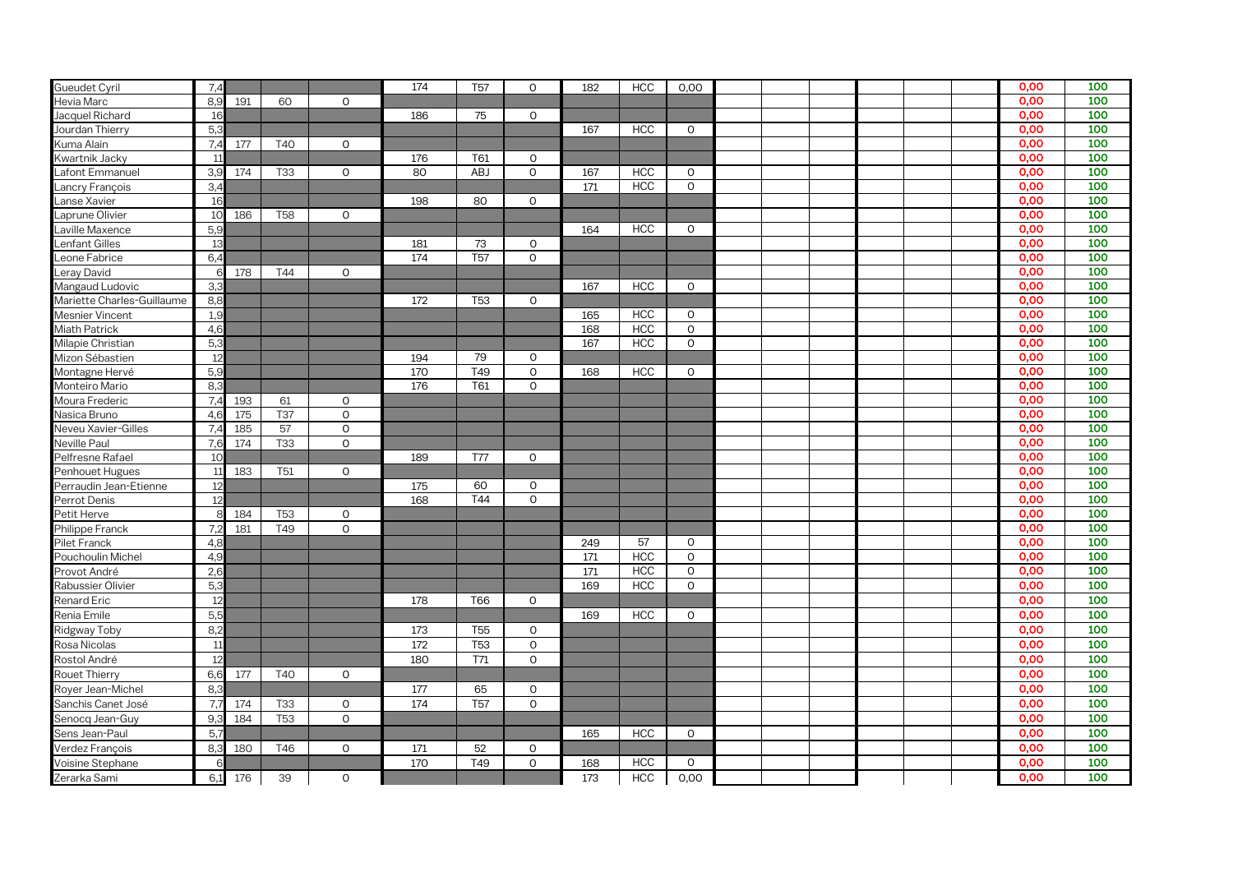| <b>Gueudet Cyril</b>       | 7.4            |     |                 |              | 174 | T <sub>57</sub>       | $\circ$      | 182 | <b>HCC</b> | 0,00         |  |  |  | 0,00 | 100 |
|----------------------------|----------------|-----|-----------------|--------------|-----|-----------------------|--------------|-----|------------|--------------|--|--|--|------|-----|
| Hevia Marc                 | 8,9            | 191 | 60              | $\mathbf 0$  |     |                       |              |     |            |              |  |  |  | 0,00 | 100 |
| Jacquel Richard            | 16             |     |                 |              | 186 | 75                    | $\circ$      |     |            |              |  |  |  | 0,00 | 100 |
| Jourdan Thierry            | 5,3            |     |                 |              |     |                       |              | 167 | <b>HCC</b> | $\mathsf O$  |  |  |  | 0,00 | 100 |
| Kuma Alain                 | 7,4            | 177 | <b>T40</b>      | $\mathbf 0$  |     |                       |              |     |            |              |  |  |  | 0.00 | 100 |
| Kwartnik Jacky             | 11             |     |                 |              | 176 | T61                   | $\mathsf{O}$ |     |            |              |  |  |  | 0.00 | 100 |
| afont Emmanuel             | 3,9            | 174 | <b>T33</b>      | $\circ$      | 80  | <b>ABJ</b>            | $\Omega$     | 167 | <b>HCC</b> | $\mathbf 0$  |  |  |  | 0,00 | 100 |
| _ancry François            | 3,4            |     |                 |              |     |                       |              | 171 | <b>HCC</b> | $\mathbf 0$  |  |  |  | 0.00 | 100 |
| anse Xavier                | 16             |     |                 |              | 198 | 80                    | $\circ$      |     |            |              |  |  |  | 0.00 | 100 |
| Laprune Olivier            | 10             | 186 | <b>T58</b>      | $\mathsf O$  |     |                       |              |     |            |              |  |  |  | 0,00 | 100 |
| aville Maxence             | 5,5            |     |                 |              |     |                       |              | 164 | <b>HCC</b> | $\mathbf 0$  |  |  |  | 0.00 | 100 |
| enfant Gilles              | 13             |     |                 |              | 181 | 73                    | $\Omega$     |     |            |              |  |  |  | 0,00 | 100 |
| _eone Fabrice              | 6.4            |     |                 |              | 174 | <b>T<sub>57</sub></b> | $\Omega$     |     |            |              |  |  |  | 0,00 | 100 |
| eray David                 |                | 178 | T44             | $\mathbf 0$  |     |                       |              |     |            |              |  |  |  | 0,00 | 100 |
| Mangaud Ludovic            | 3.3            |     |                 |              |     |                       |              | 167 | <b>HCC</b> | 0            |  |  |  | 0,00 | 100 |
| Mariette Charles-Guillaume | 8,8            |     |                 |              | 172 | <b>T53</b>            | $\mathbf{O}$ |     |            |              |  |  |  | 0,00 | 100 |
| Mesnier Vincent            | 1.9            |     |                 |              |     |                       |              | 165 | <b>HCC</b> | $\Omega$     |  |  |  | 0.00 | 100 |
| <b>Miath Patrick</b>       | 4.6            |     |                 |              |     |                       |              | 168 | <b>HCC</b> | $\mathbf{O}$ |  |  |  | 0.00 | 100 |
| Milapie Christian          | 5 <sub>5</sub> |     |                 |              |     |                       |              | 167 | <b>HCC</b> | $\mathbf 0$  |  |  |  | 0.00 | 100 |
| Mizon Sébastien            | 12             |     |                 |              | 194 | 79                    | 0            |     |            |              |  |  |  | 0,00 | 100 |
| Montagne Hervé             | 5,5            |     |                 |              | 170 | T49                   | $\mathsf{O}$ | 168 | <b>HCC</b> | 0            |  |  |  | 0,00 | 100 |
| Monteiro Mario             | 8.3            |     |                 |              | 176 | T61                   | $\mathsf{O}$ |     |            |              |  |  |  | 0,00 | 100 |
| Moura Frederic             | 7.4            | 193 | 61              | $\mathbf 0$  |     |                       |              |     |            |              |  |  |  | 0,00 | 100 |
| Nasica Bruno               | 4,6            | 175 | <b>T37</b>      | $\mathbf 0$  |     |                       |              |     |            |              |  |  |  | 0,00 | 100 |
| Neveu Xavier-Gilles        | 7,4            | 185 | 57              | $\mathsf O$  |     |                       |              |     |            |              |  |  |  | 0,00 | 100 |
| <b>Neville Paul</b>        | 7,6            | 174 | <b>T33</b>      | $\mathsf O$  |     |                       |              |     |            |              |  |  |  | 0,00 | 100 |
| Pelfresne Rafael           | 1 <sup>C</sup> |     |                 |              | 189 | T77                   | 0            |     |            |              |  |  |  | 0,00 | 100 |
| Penhouet Hugues            | 11             | 183 | T <sub>51</sub> | $\mathbf 0$  |     |                       |              |     |            |              |  |  |  | 0,00 | 100 |
| Perraudin Jean-Etienne     | 12             |     |                 |              | 175 | 60                    | $\mathsf{O}$ |     |            |              |  |  |  | 0,00 | 100 |
| Perrot Denis               | 12             |     |                 |              | 168 | T44                   | $\mathbf{O}$ |     |            |              |  |  |  | 0,00 | 100 |
| Petit Herve                | ۶              | 184 | <b>T53</b>      | $\circ$      |     |                       |              |     |            |              |  |  |  | 0,00 | 100 |
| Philippe Franck            | 7,2            | 181 | T49             | $\mathsf O$  |     |                       |              |     |            |              |  |  |  | 0,00 | 100 |
| Pilet Franck               | 4,8            |     |                 |              |     |                       |              | 249 | 57         | $\mathsf O$  |  |  |  | 0,00 | 100 |
| Pouchoulin Michel          | 4,9            |     |                 |              |     |                       |              | 171 | <b>HCC</b> | $\mathsf O$  |  |  |  | 0.00 | 100 |
| Provot André               | 2,6            |     |                 |              |     |                       |              | 171 | <b>HCC</b> | $\circ$      |  |  |  | 0,00 | 100 |
| Rabussier Olivier          | 5,3            |     |                 |              |     |                       |              | 169 | <b>HCC</b> | $\mathbf 0$  |  |  |  | 0,00 | 100 |
| Renard Eric                | 12             |     |                 |              | 178 | <b>T66</b>            | $\circ$      |     |            |              |  |  |  | 0.00 | 100 |
| Renia Emile                | 5,5            |     |                 |              |     |                       |              | 169 | <b>HCC</b> | $\mathsf{O}$ |  |  |  | 0,00 | 100 |
| Ridgway Toby               | 8,2            |     |                 |              | 173 | T <sub>55</sub>       | 0            |     |            |              |  |  |  | 0.00 | 100 |
| Rosa Nicolas               | 11             |     |                 |              | 172 | <b>T53</b>            | $\mathsf{O}$ |     |            |              |  |  |  | 0,00 | 100 |
| Rostol André               | 12             |     |                 |              | 180 | T71                   | $\mathsf{O}$ |     |            |              |  |  |  | 0,00 | 100 |
| Rouet Thierry              | 6,6            | 177 | T40             | $\mathbf 0$  |     |                       |              |     |            |              |  |  |  | 0,00 | 100 |
| Royer Jean-Michel          | 8,3            |     |                 |              | 177 | 65                    | $\mathsf{O}$ |     |            |              |  |  |  | 0,00 | 100 |
| Sanchis Canet José         | 7,7            | 174 | <b>T33</b>      | $\mathsf{O}$ | 174 | <b>T57</b>            | $\mathbf{O}$ |     |            |              |  |  |  | 0,00 | 100 |
| Senocg Jean-Guy            | 9,3            | 184 | <b>T53</b>      | $\mathbf{O}$ |     |                       |              |     |            |              |  |  |  | 0.00 | 100 |
| Sens Jean-Paul             | 5,7            |     |                 |              |     |                       |              | 165 | <b>HCC</b> | $\mathbf 0$  |  |  |  | 0,00 | 100 |
| Verdez François            | 8,3            | 180 | T46             | $\circ$      | 171 | 52                    | $\mathbf 0$  |     |            |              |  |  |  | 0.00 | 100 |
| Voisine Stephane           |                |     |                 |              | 170 | T49                   | $\mathbf{O}$ | 168 | <b>HCC</b> | $\mathbf 0$  |  |  |  | 0,00 | 100 |
| Zerarka Sami               | 6,1            | 176 | 39              | $\mathbf 0$  |     |                       |              | 173 | <b>HCC</b> | 0,00         |  |  |  | 0.00 | 100 |